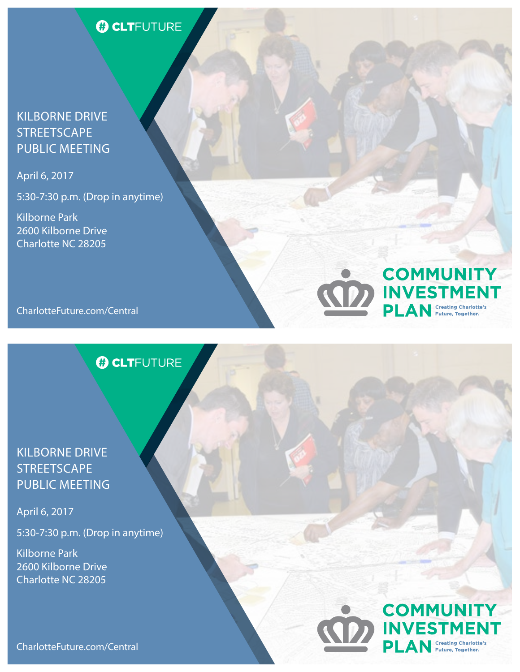# **O CLTFUTURE**

#### KILBORNE DRIVE **STREETSCAPE** PUBLIC MEETING

April 6, 2017

5:30-7:30 p.m. (Drop in anytime)

Kilborne Park 2600 Kilborne Drive Charlotte NC 28205



# **O CLTFUTURE**

### KILBORNE DRIVE **STREETSCAPE** PUBLIC MEETING

April 6, 2017

5:30-7:30 p.m. (Drop in anytime)

Kilborne Park 2600 Kilborne Drive Charlotte NC 28205

#### **COMMUNITY INVESTI Creating Charlotte's** PLAN Future, Together.

**COMMUNITY** 

**INVESTMENT** 

**PLAN** Creating Charlotte's